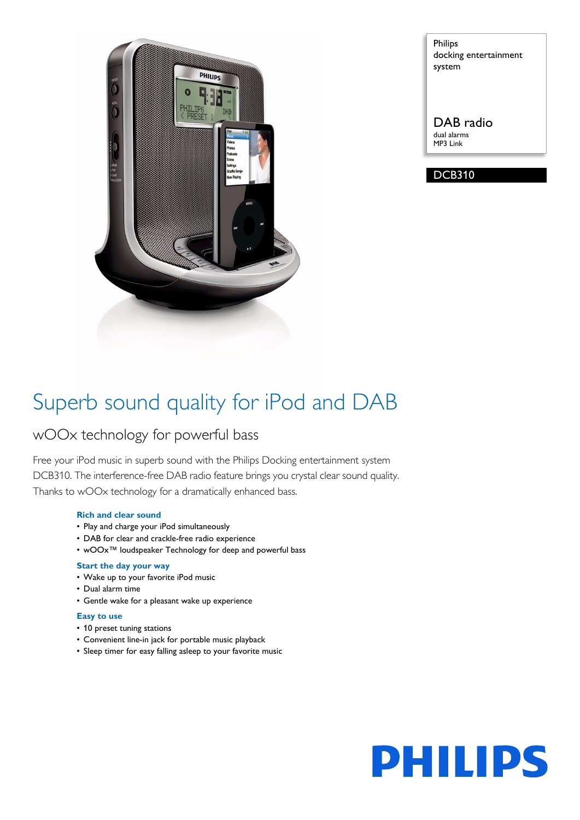

Philips docking entertainment system

DAB radio dual alarms MP3 Link

DCB310

# Superb sound quality for iPod and DAB

# wOOx technology for powerful bass

Free your iPod music in superb sound with the Philips Docking entertainment system DCB310. The interference-free DAB radio feature brings you crystal clear sound quality. Thanks to wOOx technology for a dramatically enhanced bass.

## **Rich and clear sound**

- Play and charge your iPod simultaneously
- DAB for clear and crackle-free radio experience
- wOOx™ loudspeaker Technology for deep and powerful bass

### **Start the day your way**

- Wake up to your favorite iPod music
- Dual alarm time
- Gentle wake for a pleasant wake up experience

### **Easy to use**

- 10 preset tuning stations
- Convenient line-in jack for portable music playback
- Sleep timer for easy falling asleep to your favorite music

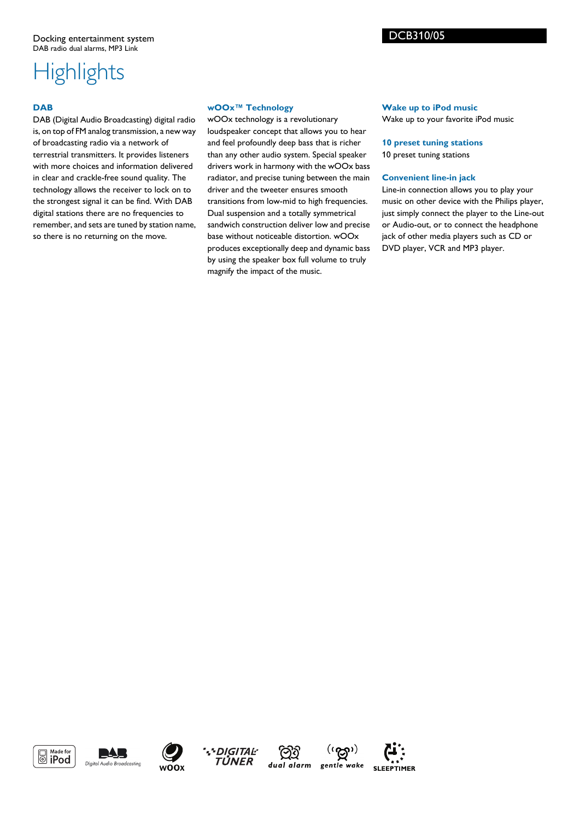# **Highlights**

# **DAB**

DAB (Digital Audio Broadcasting) digital radio is, on top of FM analog transmission, a new way of broadcasting radio via a network of terrestrial transmitters. It provides listeners with more choices and information delivered in clear and crackle-free sound quality. The technology allows the receiver to lock on to the strongest signal it can be find. With DAB digital stations there are no frequencies to remember, and sets are tuned by station name, so there is no returning on the move.

### **wOOx™ Technology**

wOOx technology is a revolutionary loudspeaker concept that allows you to hear and feel profoundly deep bass that is richer than any other audio system. Special speaker drivers work in harmony with the wOOx bass radiator, and precise tuning between the main driver and the tweeter ensures smooth transitions from low-mid to high frequencies. Dual suspension and a totally symmetrical sandwich construction deliver low and precise base without noticeable distortion. wOOx produces exceptionally deep and dynamic bass by using the speaker box full volume to truly magnify the impact of the music.

## **Wake up to iPod music**

DCB310/05

Wake up to your favorite iPod music

**10 preset tuning stations** 10 preset tuning stations

### **Convenient line-in jack**

Line-in connection allows you to play your music on other device with the Philips player, just simply connect the player to the Line-out or Audio-out, or to connect the headphone jack of other media players such as CD or DVD player, VCR and MP3 player.